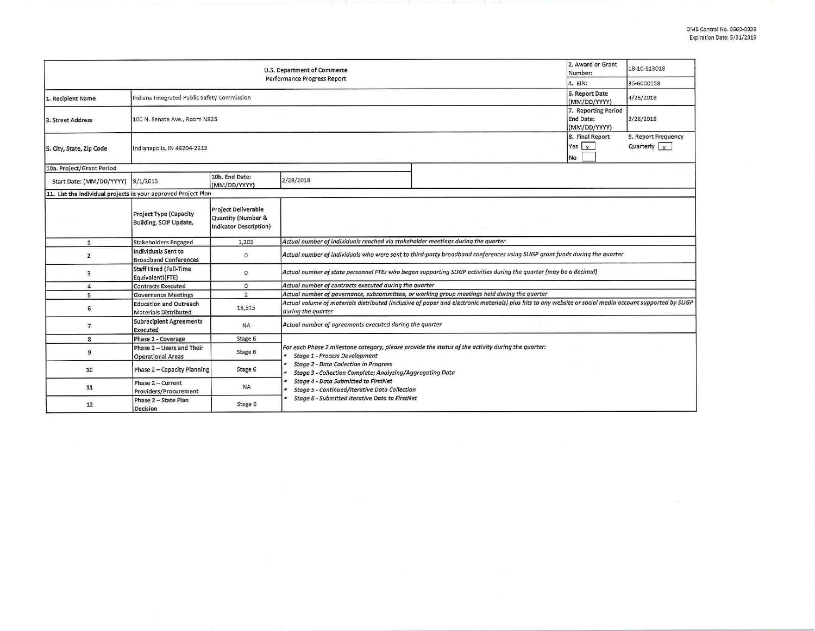| U.S. Department of Commerce                                    |                                                               |                                                                            |                                                                                                                                                                                                                                                                                                                                                         |  | 2. Award or Grant<br>Number: | 18-10-S13018                         |  |  |
|----------------------------------------------------------------|---------------------------------------------------------------|----------------------------------------------------------------------------|---------------------------------------------------------------------------------------------------------------------------------------------------------------------------------------------------------------------------------------------------------------------------------------------------------------------------------------------------------|--|------------------------------|--------------------------------------|--|--|
| <b>Performance Progress Report</b>                             |                                                               |                                                                            |                                                                                                                                                                                                                                                                                                                                                         |  |                              | 35-6000158                           |  |  |
| 1. Recipient Name                                              | Indiana Integrated Public Safety Commission                   |                                                                            |                                                                                                                                                                                                                                                                                                                                                         |  |                              | 4/26/2018                            |  |  |
| 3. Street Address                                              | 100 N. Senate Ave., Room N825                                 |                                                                            |                                                                                                                                                                                                                                                                                                                                                         |  |                              | 2/28/2018                            |  |  |
| 5. City, State, Zip Code                                       | Indianapolis, IN 46204-2213                                   |                                                                            |                                                                                                                                                                                                                                                                                                                                                         |  |                              | 9. Report Frequency<br>Quarterly $x$ |  |  |
| 10a. Project/Grant Period                                      |                                                               |                                                                            |                                                                                                                                                                                                                                                                                                                                                         |  |                              |                                      |  |  |
| Start Date: (MM/DD/YYYY) 9/1/2013                              |                                                               | 10b. End Date:<br>(MM/DD/YYYY)                                             | 2/28/2018                                                                                                                                                                                                                                                                                                                                               |  |                              |                                      |  |  |
| 11. List the individual projects in your approved Project Plan |                                                               |                                                                            |                                                                                                                                                                                                                                                                                                                                                         |  |                              |                                      |  |  |
|                                                                | <b>Project Type (Capacity</b><br>Building, SCIP Update,       | <b>Project Deliverable</b><br>Quantity (Number &<br>Indicator Description) |                                                                                                                                                                                                                                                                                                                                                         |  |                              |                                      |  |  |
| $\mathbf{1}$                                                   | <b>Stakeholders Engaged</b>                                   | 1,205                                                                      | Actual number of individuals reached via stakeholder meetings during the quarter                                                                                                                                                                                                                                                                        |  |                              |                                      |  |  |
| $\overline{2}$                                                 | Individuals Sent to<br><b>Broadband Conferences</b>           | $\circ$                                                                    | Actual number of individuals who were sent to third-party broadband conferences using SLIGP grant funds during the quarter                                                                                                                                                                                                                              |  |                              |                                      |  |  |
| 3                                                              | <b>Staff Hired (Full-Time</b><br>Equivalent)(FTE)             | $\circ$                                                                    | Actual number of state personnel FTEs who began supporting SLIGP activities during the quarter (may be a decimal)                                                                                                                                                                                                                                       |  |                              |                                      |  |  |
| 4                                                              | <b>Contracts Executed</b>                                     | $\Omega$                                                                   | Actual number of contracts executed during the quarter                                                                                                                                                                                                                                                                                                  |  |                              |                                      |  |  |
| 5                                                              | <b>Governance Meetings</b>                                    | $\overline{2}$                                                             | Actual number of governance, subcommittee, or working group meetings held during the quarter                                                                                                                                                                                                                                                            |  |                              |                                      |  |  |
| 6                                                              | <b>Education and Outreach</b><br><b>Materials Distributed</b> | 13,515                                                                     | Actual volume of materials distributed (inclusive of paper and electronic materials) plus hits to any website or social media account supported by SLIGP<br>during the quarter                                                                                                                                                                          |  |                              |                                      |  |  |
| $\overline{7}$                                                 | <b>Subrecipient Agreements</b><br>Executed                    | <b>NA</b>                                                                  | Actual number of agreements executed during the quarter                                                                                                                                                                                                                                                                                                 |  |                              |                                      |  |  |
| 8                                                              | Phase 2 - Coverage                                            | Stage 6                                                                    |                                                                                                                                                                                                                                                                                                                                                         |  |                              |                                      |  |  |
| 9                                                              | Phase 2 - Users and Their<br><b>Operational Areas</b>         | Stage 6                                                                    | For each Phase 2 milestone category, please provide the status of the activity during the quarter:<br><b>Stage 1 - Process Development</b><br><b>Stage 2 - Data Collection in Progress</b><br>Stage 3 - Collection Complete; Analyzing/Aggregating Data<br><b>Stage 4 - Data Submitted to FirstNet</b><br>Stage 5 - Continued/Iterative Data Collection |  |                              |                                      |  |  |
| 10                                                             | Phase 2 - Capacity Planning                                   | Stage 6                                                                    |                                                                                                                                                                                                                                                                                                                                                         |  |                              |                                      |  |  |
| 11                                                             | Phase 2 - Current<br>Providers/Procurement                    | <b>NA</b>                                                                  |                                                                                                                                                                                                                                                                                                                                                         |  |                              |                                      |  |  |
| 12                                                             | Phase 2 - State Plan<br>Decision                              | Stage 6                                                                    | Stage 6 - Submitted Iterative Data to FirstNet                                                                                                                                                                                                                                                                                                          |  |                              |                                      |  |  |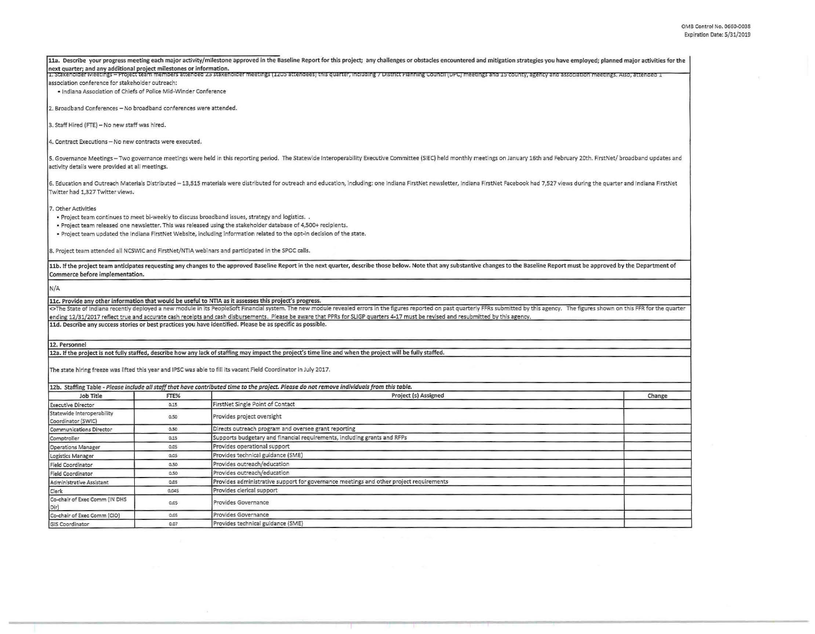| next quarter; and any additional project milestones or information.                                                 |       | 11a. Describe your progress meeting each major activity/milestone approved in the Baseline Report for this project; any challenges or obstacles encountered and mitigation strategies you have employed; planned major activit<br>1. Stakeholder Meetings - Project team members attended 25 stakeholder meetings (1205 attendees) this quarter, including 7 District Planning Council (DPC) meetings and 15 county, agency and association meetings. Also, atte                                                                                                                                                                                |        |  |  |  |  |
|---------------------------------------------------------------------------------------------------------------------|-------|-------------------------------------------------------------------------------------------------------------------------------------------------------------------------------------------------------------------------------------------------------------------------------------------------------------------------------------------------------------------------------------------------------------------------------------------------------------------------------------------------------------------------------------------------------------------------------------------------------------------------------------------------|--------|--|--|--|--|
| association conference for stakeholder outreach:<br>· Indiana Association of Chiefs of Police Mid-Winder Conference |       |                                                                                                                                                                                                                                                                                                                                                                                                                                                                                                                                                                                                                                                 |        |  |  |  |  |
| 2. Broadband Conferences - No broadband conferences were attended.                                                  |       |                                                                                                                                                                                                                                                                                                                                                                                                                                                                                                                                                                                                                                                 |        |  |  |  |  |
| 3. Staff Hired (FTE) - No new staff was hired.                                                                      |       |                                                                                                                                                                                                                                                                                                                                                                                                                                                                                                                                                                                                                                                 |        |  |  |  |  |
| 4. Contract Executions - No new contracts were executed.                                                            |       |                                                                                                                                                                                                                                                                                                                                                                                                                                                                                                                                                                                                                                                 |        |  |  |  |  |
| activity details were provided at all meetings.                                                                     |       | 5. Governance Meetings - Two governance meetings were held in this reporting period. The Statewide Interoperability Executive Committee (SIEC) held monthly meetings on January 16th and February 20th. FirstNet/ broadband up                                                                                                                                                                                                                                                                                                                                                                                                                  |        |  |  |  |  |
| Twitter had 1,327 Twitter views.                                                                                    |       | 6. Education and Outreach Materials Distributed -13,515 materials were distributed for outreach and education, including: one Indiana FirstNet newsletter, Indiana FirstNet Facebook had 7,527 views during the quarter and In                                                                                                                                                                                                                                                                                                                                                                                                                  |        |  |  |  |  |
| 7. Other Activities                                                                                                 |       | . Project team continues to meet bi-weekly to discuss broadband issues, strategy and logistics.<br>. Project team released one newsletter. This was released using the stakeholder database of 4,500+ recipients.<br>. Project team updated the Indiana FirstNet Website, including information related to the opt-in decision of the state.<br>8. Project team attended all NCSWIC and FirstNet/NTIA webinars and participated in the SPOC calls.                                                                                                                                                                                              |        |  |  |  |  |
|                                                                                                                     |       | 11b. If the project team anticipates requesting any changes to the approved Baseline Report in the next quarter, describe those below. Note that any substantive changes to the Baseline Report must be approved by the Depart                                                                                                                                                                                                                                                                                                                                                                                                                  |        |  |  |  |  |
| Commerce before implementation.                                                                                     |       |                                                                                                                                                                                                                                                                                                                                                                                                                                                                                                                                                                                                                                                 |        |  |  |  |  |
| N/A                                                                                                                 |       |                                                                                                                                                                                                                                                                                                                                                                                                                                                                                                                                                                                                                                                 |        |  |  |  |  |
|                                                                                                                     |       | 11c. Provide any other information that would be useful to NTIA as it assesses this project's progress.<br><>The State of Indiana recently deployed a new module in its PeopleSoft Financial system. The new module revealed errors in the figures reported on past quarterly FFRs submitted by this agency. The figures shown on this FF<br>ending 12/31/2017 reflect true and accurate cash receipts and cash disbursements. Please be aware that PPRs for SLIGP quarters 4-17 must be revised and resubmitted by this agency.<br>11d. Describe any success stories or best practices you have identified. Please be as specific as possible. |        |  |  |  |  |
| 12. Personnel                                                                                                       |       |                                                                                                                                                                                                                                                                                                                                                                                                                                                                                                                                                                                                                                                 |        |  |  |  |  |
|                                                                                                                     |       | 12a. If the project is not fully staffed, describe how any lack of staffing may impact the project's time line and when the project will be fully staffed.                                                                                                                                                                                                                                                                                                                                                                                                                                                                                      |        |  |  |  |  |
|                                                                                                                     |       | The state hiring freeze was lifted this year and IPSC was able to fill its vacant Field Coordinator in July 2017.                                                                                                                                                                                                                                                                                                                                                                                                                                                                                                                               |        |  |  |  |  |
|                                                                                                                     |       | 12b. Staffing Table - Please include all staff that have contributed time to the project. Please do not remove individuals from this table.                                                                                                                                                                                                                                                                                                                                                                                                                                                                                                     |        |  |  |  |  |
| Job Title                                                                                                           | FTE%  | Project (s) Assigned                                                                                                                                                                                                                                                                                                                                                                                                                                                                                                                                                                                                                            | Change |  |  |  |  |
| <b>Executive Director</b>                                                                                           | 0.15  | FirstNet Single Point of Contact                                                                                                                                                                                                                                                                                                                                                                                                                                                                                                                                                                                                                |        |  |  |  |  |
| Statewide Interoperability<br>Coordinator (SWIC)                                                                    | 0.50  | Provides project oversight                                                                                                                                                                                                                                                                                                                                                                                                                                                                                                                                                                                                                      |        |  |  |  |  |
| <b>Communications Director</b>                                                                                      | 0.50  | Directs outreach program and oversee grant reporting                                                                                                                                                                                                                                                                                                                                                                                                                                                                                                                                                                                            |        |  |  |  |  |
| Comptroller                                                                                                         | 0.15  | Supports budgetary and financial requirements, including grants and RFPs                                                                                                                                                                                                                                                                                                                                                                                                                                                                                                                                                                        |        |  |  |  |  |
| <b>Operations Manager</b>                                                                                           | 0.05  | Provides operational support                                                                                                                                                                                                                                                                                                                                                                                                                                                                                                                                                                                                                    |        |  |  |  |  |
| Logistics Manager                                                                                                   | 0.05  | Provides technical guidance (SME)                                                                                                                                                                                                                                                                                                                                                                                                                                                                                                                                                                                                               |        |  |  |  |  |
| <b>Field Coordinator</b>                                                                                            | 0.50  | Provides outreach/education                                                                                                                                                                                                                                                                                                                                                                                                                                                                                                                                                                                                                     |        |  |  |  |  |
| <b>Field Coordinator</b>                                                                                            | 0.50  | Provides outreach/education                                                                                                                                                                                                                                                                                                                                                                                                                                                                                                                                                                                                                     |        |  |  |  |  |
| Administrative Assistant                                                                                            | 0.05  | Provides administrative support for governance meetings and other project requirements                                                                                                                                                                                                                                                                                                                                                                                                                                                                                                                                                          |        |  |  |  |  |
| Clerk                                                                                                               | 0.045 | Provides clerical support                                                                                                                                                                                                                                                                                                                                                                                                                                                                                                                                                                                                                       |        |  |  |  |  |
| Co-chair of Exec Comm (IN DHS<br>Dir)                                                                               | 0.05  | Provides Governance                                                                                                                                                                                                                                                                                                                                                                                                                                                                                                                                                                                                                             |        |  |  |  |  |
| Co-chair of Exec Comm (CIO)                                                                                         | 0.05  | Provides Governance                                                                                                                                                                                                                                                                                                                                                                                                                                                                                                                                                                                                                             |        |  |  |  |  |
| <b>GIS Coordinator</b>                                                                                              | 0.07  | Provides technical guidance (SME)                                                                                                                                                                                                                                                                                                                                                                                                                                                                                                                                                                                                               |        |  |  |  |  |
|                                                                                                                     |       |                                                                                                                                                                                                                                                                                                                                                                                                                                                                                                                                                                                                                                                 |        |  |  |  |  |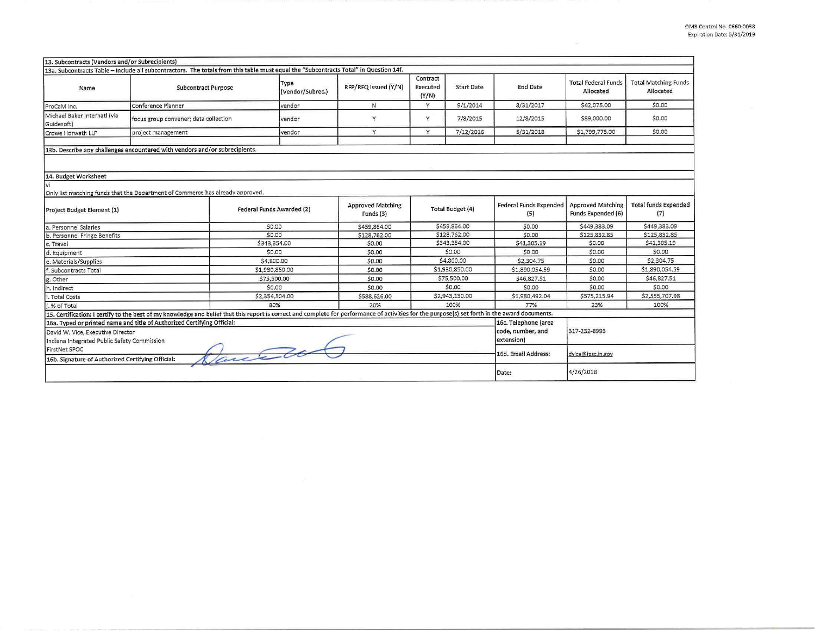| 13. Subcontracts (Vendors and/or Subrecipients)                                  | 13a. Subcontracts Table - Include all subcontractors. The totals from this table must equal the "Subcontracts Total" in Question 14f.                                                           |                                  |                                       |                               |                         |                                           |                                                |                                          |
|----------------------------------------------------------------------------------|-------------------------------------------------------------------------------------------------------------------------------------------------------------------------------------------------|----------------------------------|---------------------------------------|-------------------------------|-------------------------|-------------------------------------------|------------------------------------------------|------------------------------------------|
| Name                                                                             | <b>Subcontract Purpose</b>                                                                                                                                                                      | Type<br>(Vendor/Subrec.)         | RFP/RFQ Issued (Y/N)                  | Contract<br>Executed<br>(Y/N) | <b>Start Date</b>       | <b>End Date</b>                           | <b>Total Federal Funds</b><br>Allocated        | <b>Total Matching Funds</b><br>Allocated |
| ProCaM Inc.                                                                      | Conference Planner                                                                                                                                                                              | vendor                           | N                                     | Y                             | 9/1/2014                | 8/31/2017                                 | \$42,075.00                                    | \$0.00                                   |
| Michael Baker Internatl (via<br>Guidesoft)                                       | focus group convener; data collection                                                                                                                                                           | vendor                           | $\vee$                                | Y                             | 7/8/2015                | 12/8/2015                                 | \$89,000.00                                    | \$0.00                                   |
| Crowe Horwath LLP                                                                | project management                                                                                                                                                                              | vendor                           | Y                                     | Y                             | 7/12/2016               | 5/31/2018                                 | \$1,799,775.00                                 | \$0.00                                   |
|                                                                                  | 13b. Describe any challenges encountered with vendors and/or subrecipients.                                                                                                                     |                                  |                                       |                               |                         |                                           |                                                |                                          |
| 14. Budget Worksheet<br>vi                                                       |                                                                                                                                                                                                 |                                  |                                       |                               |                         |                                           |                                                |                                          |
|                                                                                  | Only list matching funds that the Department of Commerce has already approved.                                                                                                                  |                                  |                                       |                               |                         |                                           |                                                |                                          |
| Project Budget Element (1)                                                       |                                                                                                                                                                                                 | <b>Federal Funds Awarded (2)</b> | <b>Approved Matching</b><br>Funds (3) |                               | <b>Total Budget (4)</b> | <b>Federal Funds Expended</b><br>(5)      | <b>Approved Matching</b><br>Funds Expended (6) | <b>Total funds Expended</b><br>(7)       |
| a. Personnel Salaries                                                            |                                                                                                                                                                                                 | \$0.00                           | \$459,864.00                          |                               | \$459,864.00            | \$0.00                                    | \$449,383.09                                   | \$449,383.09                             |
| b. Personnel Fringe Benefits                                                     |                                                                                                                                                                                                 | \$0.00                           | \$128,762.00                          |                               | \$128,762.00            | \$0.00                                    | \$125,832.85                                   | \$125,832.85                             |
| c. Travel                                                                        |                                                                                                                                                                                                 | \$343,354.00                     | \$0.00                                |                               | \$343,354.00            | \$41,305.19                               | \$0.00                                         | \$41,305.19                              |
| d. Equipment                                                                     |                                                                                                                                                                                                 | \$0.00                           | \$0.00                                |                               | \$0.00                  | \$0.00                                    | \$0.00                                         | \$0.00                                   |
| e. Materials/Supplies                                                            |                                                                                                                                                                                                 | \$4,800.00                       | \$0.00                                |                               | \$4,800.00              | \$2,304.75                                | \$0.00                                         | \$2,304.75                               |
| f. Subcontracts Total                                                            |                                                                                                                                                                                                 | \$1,930,850.00                   | \$0.00                                |                               | \$1,930,850.00          | \$1,890,054.59                            | \$0.00                                         | \$1,890,054.59                           |
| g. Other                                                                         |                                                                                                                                                                                                 | \$75,500.00                      | \$0.00                                |                               | \$75,500.00             | \$46,827.51                               | \$0.00                                         | \$46,827.51                              |
| h. Indirect                                                                      |                                                                                                                                                                                                 | \$0.00                           | \$0.00                                | \$0.00                        |                         | \$0.00                                    | \$0.00                                         | \$0.00                                   |
| i. Total Costs                                                                   | \$2,354,504.00                                                                                                                                                                                  |                                  | \$588,626.00                          | \$2,943,130.00                |                         | \$1,980,492.04                            | \$575,215.94                                   | \$2,555,707.98                           |
| .% of Total                                                                      |                                                                                                                                                                                                 | 80%                              | 20%                                   | 100%                          |                         | 77%                                       | 23%                                            | 100%                                     |
|                                                                                  | 15. Certification: I certify to the best of my knowledge and belief that this report is correct and complete for performance of activities for the purpose(s) set forth in the award documents. |                                  |                                       |                               |                         |                                           |                                                |                                          |
| 16a. Typed or printed name and title of Authorized Certifying Official:          |                                                                                                                                                                                                 |                                  |                                       |                               |                         | 16c. Telephone (area<br>code, number, and | 317-232-8993                                   |                                          |
| David W. Vice, Executive Director<br>Indiana Integrated Public Safety Commission |                                                                                                                                                                                                 |                                  |                                       |                               |                         | extension)                                |                                                |                                          |
| FirstNet SPOC<br>auc co                                                          |                                                                                                                                                                                                 |                                  |                                       |                               |                         | 16d. Email Address:                       | dvice@ipsc.in.gov                              |                                          |
| 16b. Signature of Authorized Certifying Official:                                |                                                                                                                                                                                                 |                                  |                                       |                               |                         |                                           |                                                |                                          |
|                                                                                  |                                                                                                                                                                                                 |                                  |                                       |                               |                         | Date:                                     | 4/26/2018                                      |                                          |

 $\sim 10^{-1}$